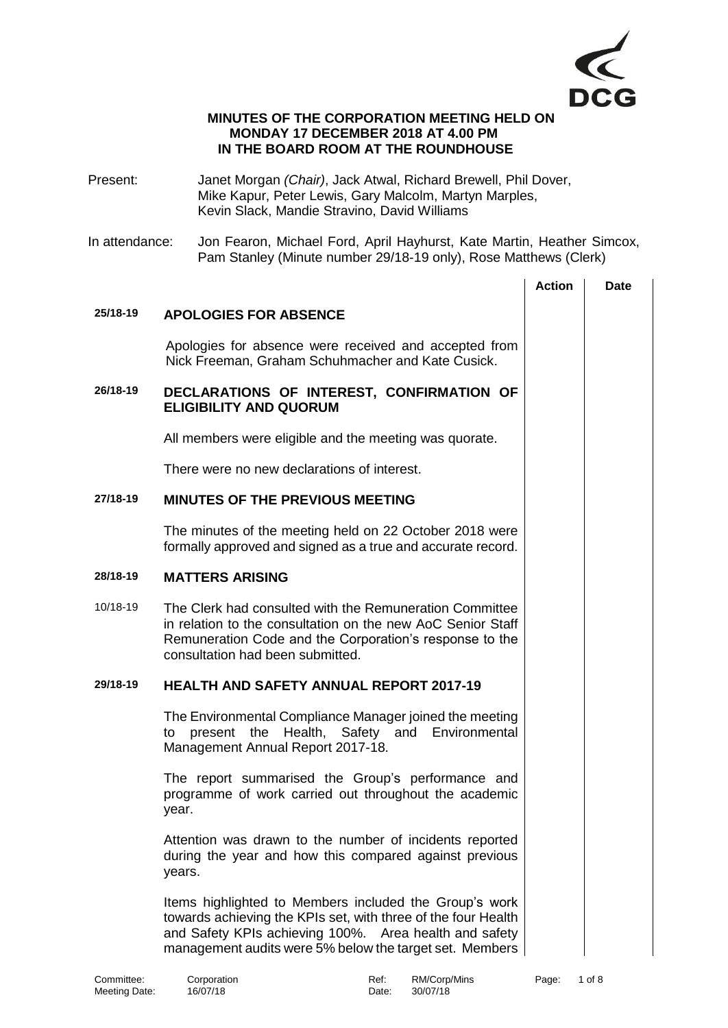

### **MINUTES OF THE CORPORATION MEETING HELD ON MONDAY 17 DECEMBER 2018 AT 4.00 PM IN THE BOARD ROOM AT THE ROUNDHOUSE**

- Present: Janet Morgan *(Chair)*, Jack Atwal, Richard Brewell, Phil Dover, Mike Kapur, Peter Lewis, Gary Malcolm, Martyn Marples, Kevin Slack, Mandie Stravino, David Williams
- In attendance: Jon Fearon, Michael Ford, April Hayhurst, Kate Martin, Heather Simcox, Pam Stanley (Minute number 29/18-19 only), Rose Matthews (Clerk)

|                             |                                                                                                                                                                                                                                              | <b>Action</b> | <b>Date</b> |
|-----------------------------|----------------------------------------------------------------------------------------------------------------------------------------------------------------------------------------------------------------------------------------------|---------------|-------------|
| 25/18-19                    | <b>APOLOGIES FOR ABSENCE</b>                                                                                                                                                                                                                 |               |             |
|                             | Apologies for absence were received and accepted from<br>Nick Freeman, Graham Schuhmacher and Kate Cusick.                                                                                                                                   |               |             |
| 26/18-19                    | DECLARATIONS OF INTEREST, CONFIRMATION OF<br><b>ELIGIBILITY AND QUORUM</b>                                                                                                                                                                   |               |             |
|                             | All members were eligible and the meeting was quorate.                                                                                                                                                                                       |               |             |
|                             | There were no new declarations of interest.                                                                                                                                                                                                  |               |             |
| 27/18-19                    | <b>MINUTES OF THE PREVIOUS MEETING</b>                                                                                                                                                                                                       |               |             |
|                             | The minutes of the meeting held on 22 October 2018 were<br>formally approved and signed as a true and accurate record.                                                                                                                       |               |             |
| 28/18-19                    | <b>MATTERS ARISING</b>                                                                                                                                                                                                                       |               |             |
| 10/18-19                    | The Clerk had consulted with the Remuneration Committee<br>in relation to the consultation on the new AoC Senior Staff<br>Remuneration Code and the Corporation's response to the<br>consultation had been submitted.                        |               |             |
| 29/18-19                    | <b>HEALTH AND SAFETY ANNUAL REPORT 2017-19</b>                                                                                                                                                                                               |               |             |
|                             | The Environmental Compliance Manager joined the meeting<br>Environmental<br>the<br>Health, Safety and<br>present<br>to<br>Management Annual Report 2017-18.                                                                                  |               |             |
|                             | The report summarised the Group's performance and<br>programme of work carried out throughout the academic<br>year.                                                                                                                          |               |             |
|                             | Attention was drawn to the number of incidents reported<br>during the year and how this compared against previous<br>years.                                                                                                                  |               |             |
|                             | Items highlighted to Members included the Group's work<br>towards achieving the KPIs set, with three of the four Health<br>and Safety KPIs achieving 100%. Area health and safety<br>management audits were 5% below the target set. Members |               |             |
| Committee:<br>Meeting Date: | Corporation<br>Ref:<br>RM/Corp/Mins<br>16/07/18<br>30/07/18<br>Date:                                                                                                                                                                         | Page:         | 1 of 8      |

Meeting Date: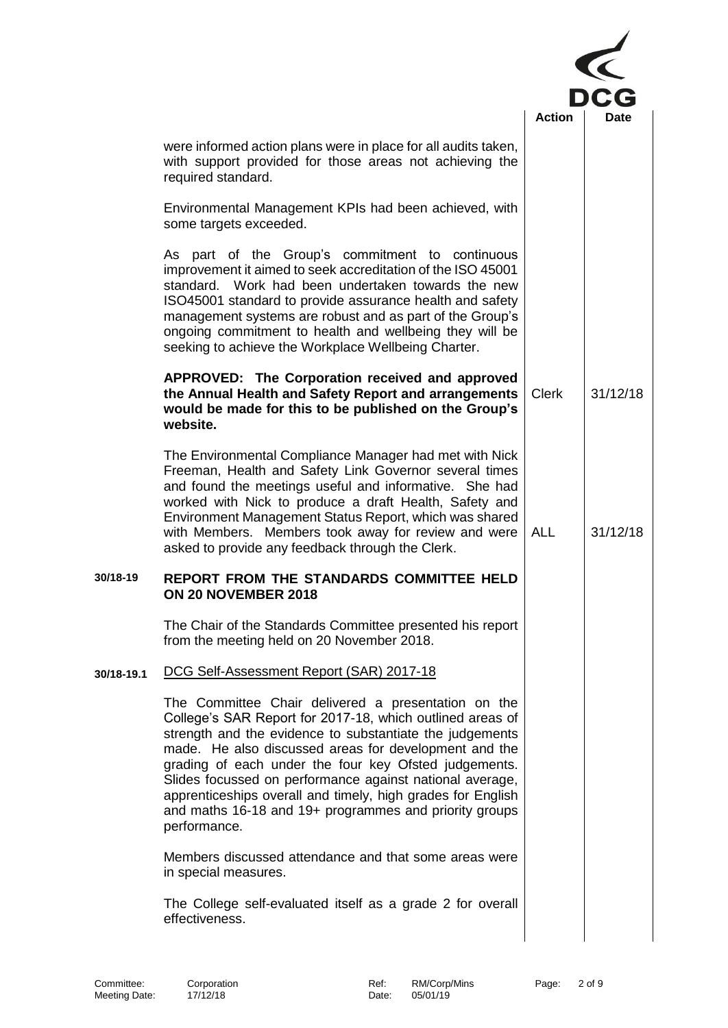|            |                                                                                                                                                                                                                                                                                                                                                                                                                                                                                                     | <b>Action</b> |          |
|------------|-----------------------------------------------------------------------------------------------------------------------------------------------------------------------------------------------------------------------------------------------------------------------------------------------------------------------------------------------------------------------------------------------------------------------------------------------------------------------------------------------------|---------------|----------|
|            | were informed action plans were in place for all audits taken,<br>with support provided for those areas not achieving the<br>required standard.                                                                                                                                                                                                                                                                                                                                                     |               |          |
|            | Environmental Management KPIs had been achieved, with<br>some targets exceeded.                                                                                                                                                                                                                                                                                                                                                                                                                     |               |          |
|            | As part of the Group's commitment to continuous<br>improvement it aimed to seek accreditation of the ISO 45001<br>Work had been undertaken towards the new<br>standard.<br>ISO45001 standard to provide assurance health and safety<br>management systems are robust and as part of the Group's<br>ongoing commitment to health and wellbeing they will be<br>seeking to achieve the Workplace Wellbeing Charter.                                                                                   |               |          |
|            | APPROVED: The Corporation received and approved<br>the Annual Health and Safety Report and arrangements<br>would be made for this to be published on the Group's<br>website.                                                                                                                                                                                                                                                                                                                        | <b>Clerk</b>  | 31/12/18 |
|            | The Environmental Compliance Manager had met with Nick<br>Freeman, Health and Safety Link Governor several times<br>and found the meetings useful and informative. She had<br>worked with Nick to produce a draft Health, Safety and<br>Environment Management Status Report, which was shared<br>with Members. Members took away for review and were<br>asked to provide any feedback through the Clerk.                                                                                           | <b>ALL</b>    | 31/12/18 |
| 30/18-19   | REPORT FROM THE STANDARDS COMMITTEE HELD<br>ON 20 NOVEMBER 2018                                                                                                                                                                                                                                                                                                                                                                                                                                     |               |          |
|            | The Chair of the Standards Committee presented his report<br>from the meeting held on 20 November 2018.                                                                                                                                                                                                                                                                                                                                                                                             |               |          |
| 30/18-19.1 | DCG Self-Assessment Report (SAR) 2017-18                                                                                                                                                                                                                                                                                                                                                                                                                                                            |               |          |
|            | The Committee Chair delivered a presentation on the<br>College's SAR Report for 2017-18, which outlined areas of<br>strength and the evidence to substantiate the judgements<br>made. He also discussed areas for development and the<br>grading of each under the four key Ofsted judgements.<br>Slides focussed on performance against national average,<br>apprenticeships overall and timely, high grades for English<br>and maths 16-18 and 19+ programmes and priority groups<br>performance. |               |          |
|            | Members discussed attendance and that some areas were<br>in special measures.                                                                                                                                                                                                                                                                                                                                                                                                                       |               |          |
|            | The College self-evaluated itself as a grade 2 for overall<br>effectiveness.                                                                                                                                                                                                                                                                                                                                                                                                                        |               |          |
|            |                                                                                                                                                                                                                                                                                                                                                                                                                                                                                                     |               |          |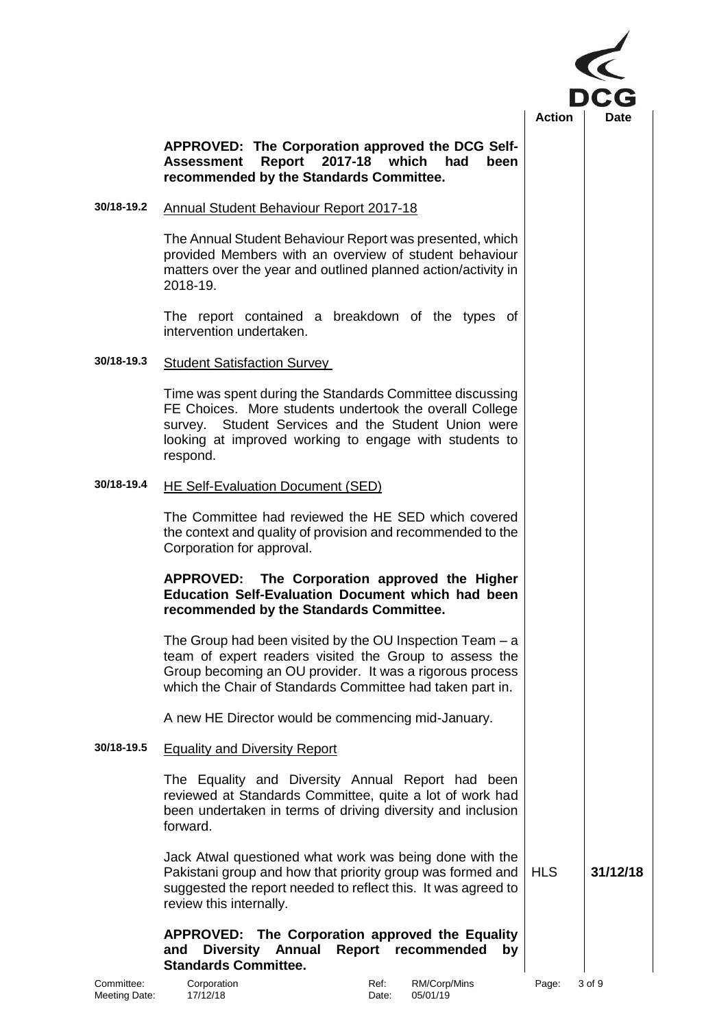

# **APPROVED: The Corporation approved the DCG Self-Assessment Report 2017-18 which had been recommended by the Standards Committee.**

# **30/18-19.2** Annual Student Behaviour Report 2017-18

The Annual Student Behaviour Report was presented, which provided Members with an overview of student behaviour matters over the year and outlined planned action/activity in 2018-19.

The report contained a breakdown of the types of intervention undertaken.

### **30/18-19.3** Student Satisfaction Survey

Time was spent during the Standards Committee discussing FE Choices. More students undertook the overall College survey. Student Services and the Student Union were looking at improved working to engage with students to respond.

### **30/18-19.4** HE Self-Evaluation Document (SED)

The Committee had reviewed the HE SED which covered the context and quality of provision and recommended to the Corporation for approval.

### **APPROVED: The Corporation approved the Higher Education Self-Evaluation Document which had been recommended by the Standards Committee.**

The Group had been visited by the OU Inspection Team – a team of expert readers visited the Group to assess the Group becoming an OU provider. It was a rigorous process which the Chair of Standards Committee had taken part in.

A new HE Director would be commencing mid-January.

### **30/18-19.5** Equality and Diversity Report

The Equality and Diversity Annual Report had been reviewed at Standards Committee, quite a lot of work had been undertaken in terms of driving diversity and inclusion forward.

Jack Atwal questioned what work was being done with the Pakistani group and how that priority group was formed and suggested the report needed to reflect this. It was agreed to review this internally. HLS **31/12/18**

### **APPROVED: The Corporation approved the Equality and Diversity Annual Report recommended by Standards Committee.**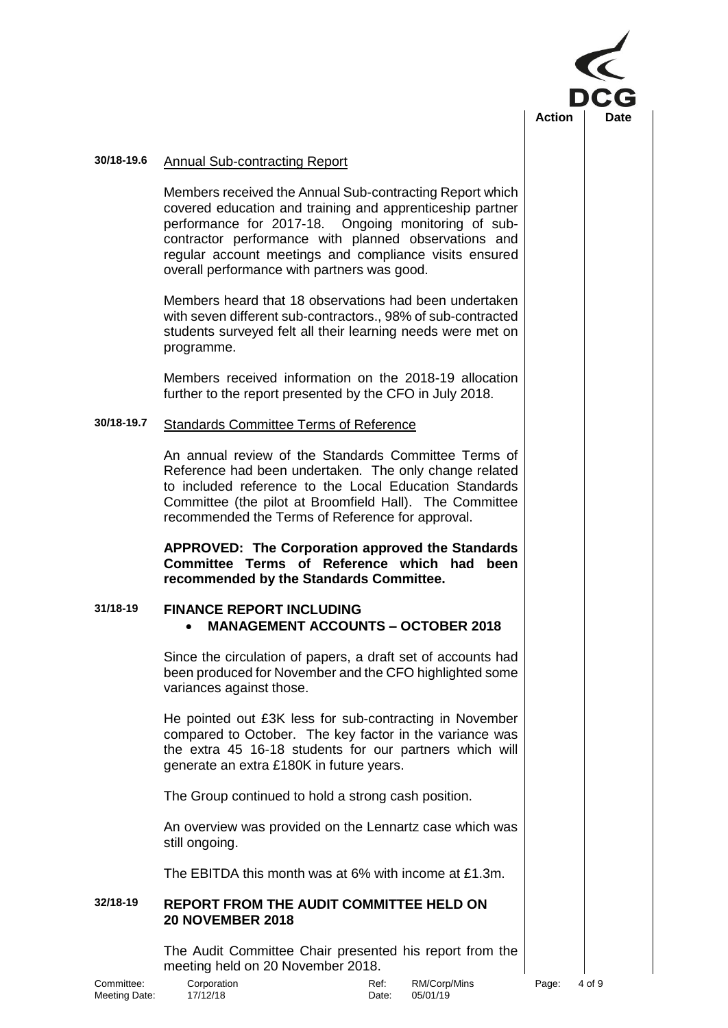

### **30/18-19.6** Annual Sub-contracting Report

Members received the Annual Sub-contracting Report which covered education and training and apprenticeship partner performance for 2017-18. Ongoing monitoring of subcontractor performance with planned observations and regular account meetings and compliance visits ensured overall performance with partners was good.

Members heard that 18 observations had been undertaken with seven different sub-contractors., 98% of sub-contracted students surveyed felt all their learning needs were met on programme.

Members received information on the 2018-19 allocation further to the report presented by the CFO in July 2018.

# **30/18-19.7** Standards Committee Terms of Reference

An annual review of the Standards Committee Terms of Reference had been undertaken. The only change related to included reference to the Local Education Standards Committee (the pilot at Broomfield Hall). The Committee recommended the Terms of Reference for approval.

**APPROVED: The Corporation approved the Standards Committee Terms of Reference which had been recommended by the Standards Committee.**

# **31/18-19 FINANCE REPORT INCLUDING** • **MANAGEMENT ACCOUNTS – OCTOBER 2018**

Since the circulation of papers, a draft set of accounts had been produced for November and the CFO highlighted some variances against those.

He pointed out £3K less for sub-contracting in November compared to October. The key factor in the variance was the extra 45 16-18 students for our partners which will generate an extra £180K in future years.

The Group continued to hold a strong cash position.

An overview was provided on the Lennartz case which was still ongoing.

The EBITDA this month was at 6% with income at £1.3m.

# **32/18-19 REPORT FROM THE AUDIT COMMITTEE HELD ON 20 NOVEMBER 2018**

The Audit Committee Chair presented his report from the meeting held on 20 November 2018.

Meeting Date: 17/12/18 Date: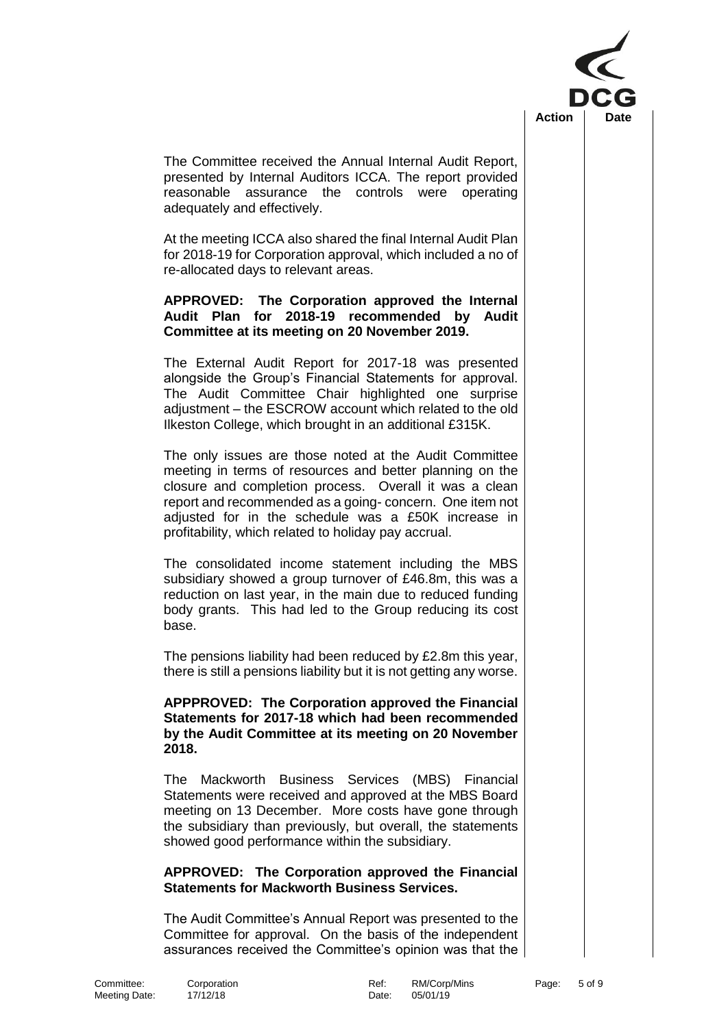

The Committee received the Annual Internal Audit Report, presented by Internal Auditors ICCA. The report provided reasonable assurance the controls were operating adequately and effectively.

At the meeting ICCA also shared the final Internal Audit Plan for 2018-19 for Corporation approval, which included a no of re-allocated days to relevant areas.

# **APPROVED: The Corporation approved the Internal Audit Plan for 2018-19 recommended by Audit Committee at its meeting on 20 November 2019.**

The External Audit Report for 2017-18 was presented alongside the Group's Financial Statements for approval. The Audit Committee Chair highlighted one surprise adjustment – the ESCROW account which related to the old Ilkeston College, which brought in an additional £315K.

The only issues are those noted at the Audit Committee meeting in terms of resources and better planning on the closure and completion process. Overall it was a clean report and recommended as a going- concern. One item not adjusted for in the schedule was a £50K increase in profitability, which related to holiday pay accrual.

The consolidated income statement including the MBS subsidiary showed a group turnover of £46.8m, this was a reduction on last year, in the main due to reduced funding body grants. This had led to the Group reducing its cost base.

The pensions liability had been reduced by £2.8m this year, there is still a pensions liability but it is not getting any worse.

## **APPPROVED: The Corporation approved the Financial Statements for 2017-18 which had been recommended by the Audit Committee at its meeting on 20 November 2018.**

The Mackworth Business Services (MBS) Financial Statements were received and approved at the MBS Board meeting on 13 December. More costs have gone through the subsidiary than previously, but overall, the statements showed good performance within the subsidiary.

# **APPROVED: The Corporation approved the Financial Statements for Mackworth Business Services.**

The Audit Committee's Annual Report was presented to the Committee for approval. On the basis of the independent assurances received the Committee's opinion was that the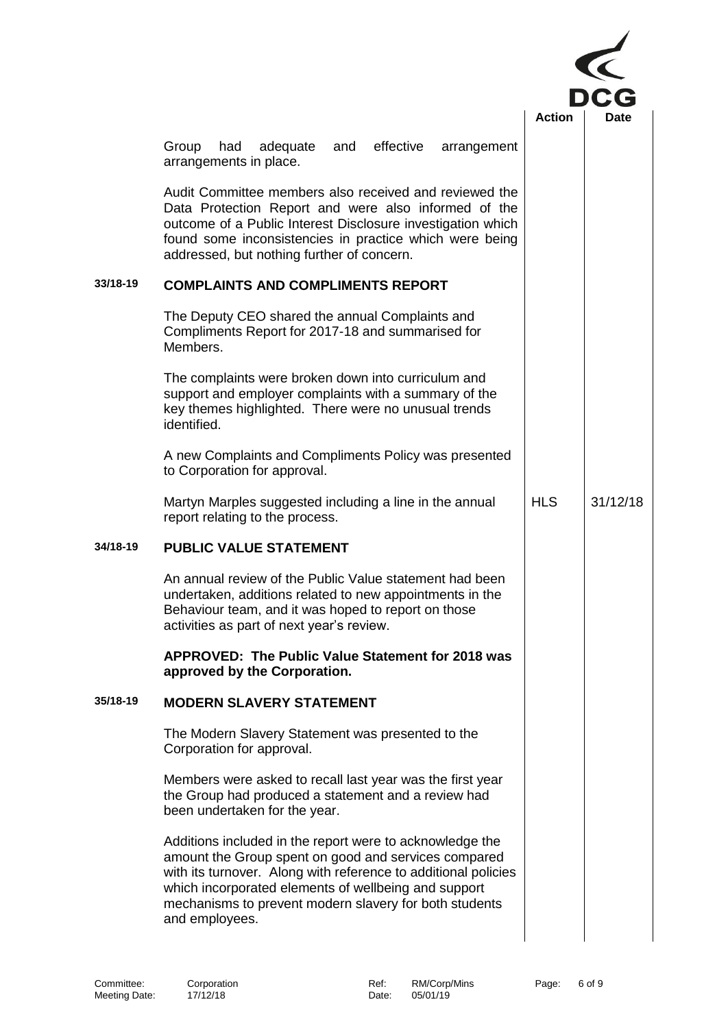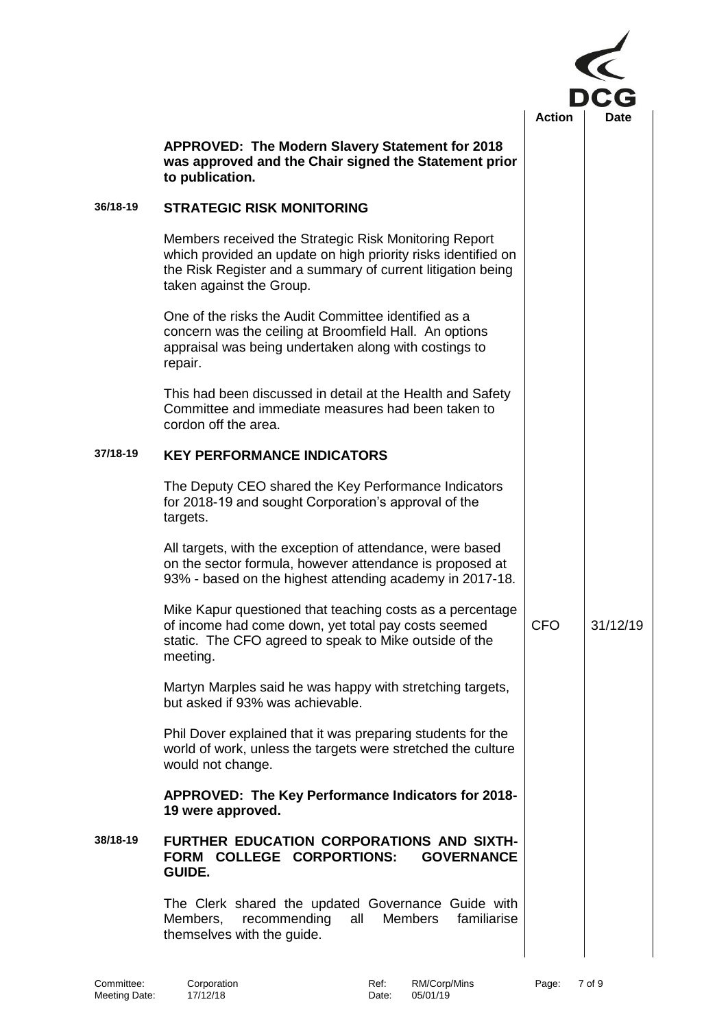|          |                                                                                                                                                                                                                   |               | <b>DCG</b>  |  |
|----------|-------------------------------------------------------------------------------------------------------------------------------------------------------------------------------------------------------------------|---------------|-------------|--|
|          | APPROVED: The Modern Slavery Statement for 2018<br>was approved and the Chair signed the Statement prior<br>to publication.                                                                                       | <b>Action</b> | <b>Date</b> |  |
| 36/18-19 | <b>STRATEGIC RISK MONITORING</b>                                                                                                                                                                                  |               |             |  |
|          | Members received the Strategic Risk Monitoring Report<br>which provided an update on high priority risks identified on<br>the Risk Register and a summary of current litigation being<br>taken against the Group. |               |             |  |
|          | One of the risks the Audit Committee identified as a<br>concern was the ceiling at Broomfield Hall. An options<br>appraisal was being undertaken along with costings to<br>repair.                                |               |             |  |
|          | This had been discussed in detail at the Health and Safety<br>Committee and immediate measures had been taken to<br>cordon off the area.                                                                          |               |             |  |
| 37/18-19 | <b>KEY PERFORMANCE INDICATORS</b>                                                                                                                                                                                 |               |             |  |
|          | The Deputy CEO shared the Key Performance Indicators<br>for 2018-19 and sought Corporation's approval of the<br>targets.                                                                                          |               |             |  |
|          | All targets, with the exception of attendance, were based<br>on the sector formula, however attendance is proposed at<br>93% - based on the highest attending academy in 2017-18.                                 |               |             |  |
|          | Mike Kapur questioned that teaching costs as a percentage<br>of income had come down, yet total pay costs seemed<br>static. The CFO agreed to speak to Mike outside of the<br>meeting.                            | <b>CFO</b>    | 31/12/19    |  |
|          | Martyn Marples said he was happy with stretching targets,<br>but asked if 93% was achievable.                                                                                                                     |               |             |  |
|          | Phil Dover explained that it was preparing students for the<br>world of work, unless the targets were stretched the culture<br>would not change.                                                                  |               |             |  |
|          | APPROVED: The Key Performance Indicators for 2018-<br>19 were approved.                                                                                                                                           |               |             |  |
| 38/18-19 | FURTHER EDUCATION CORPORATIONS AND SIXTH-<br>FORM COLLEGE CORPORTIONS:<br><b>GOVERNANCE</b><br><b>GUIDE.</b>                                                                                                      |               |             |  |
|          | The Clerk shared the updated Governance Guide with<br><b>Members</b><br>recommending<br>all<br>familiarise<br>Members,<br>themselves with the guide.                                                              |               |             |  |
|          |                                                                                                                                                                                                                   |               |             |  |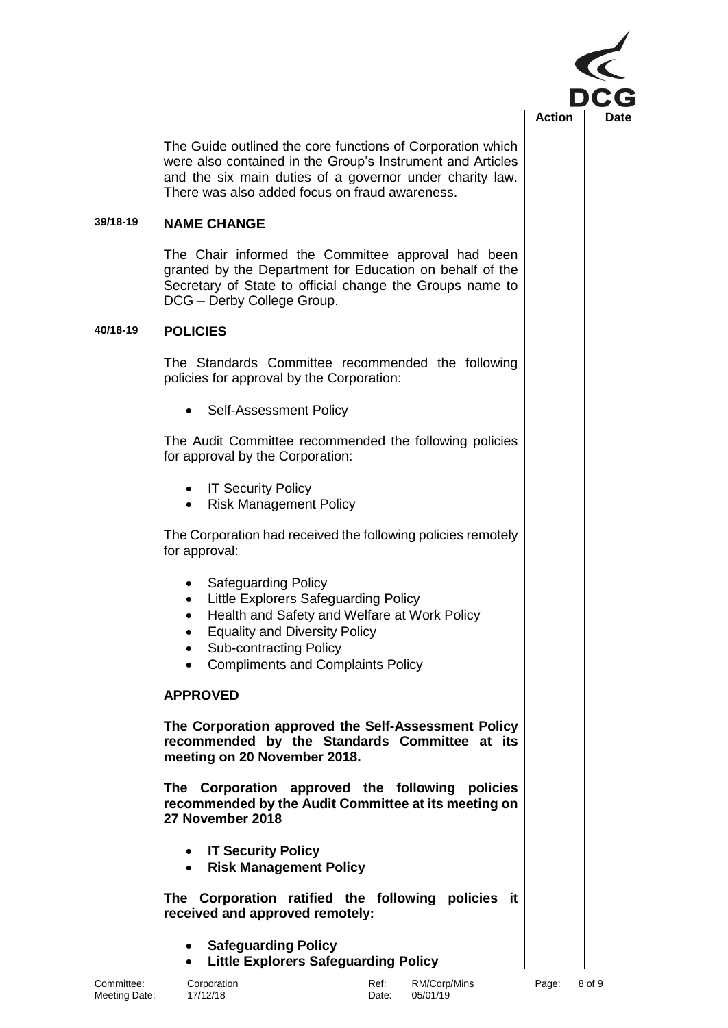

The Guide outlined the core functions of Corporation which were also contained in the Group's Instrument and Articles and the six main duties of a governor under charity law. There was also added focus on fraud awareness.

### **39/18-19 NAME CHANGE**

The Chair informed the Committee approval had been granted by the Department for Education on behalf of the Secretary of State to official change the Groups name to DCG – Derby College Group.

# **40/18-19 POLICIES**

The Standards Committee recommended the following policies for approval by the Corporation:

Self-Assessment Policy

The Audit Committee recommended the following policies for approval by the Corporation:

- IT Security Policy
- Risk Management Policy

The Corporation had received the following policies remotely for approval:

- Safeguarding Policy
- Little Explorers Safeguarding Policy
- Health and Safety and Welfare at Work Policy
- Equality and Diversity Policy
- Sub-contracting Policy
- Compliments and Complaints Policy

### **APPROVED**

**The Corporation approved the Self-Assessment Policy recommended by the Standards Committee at its meeting on 20 November 2018.**

**The Corporation approved the following policies recommended by the Audit Committee at its meeting on 27 November 2018**

- **IT Security Policy**
- **Risk Management Policy**

**The Corporation ratified the following policies it received and approved remotely:**

- **Safeguarding Policy**
- **Little Explorers Safeguarding Policy**